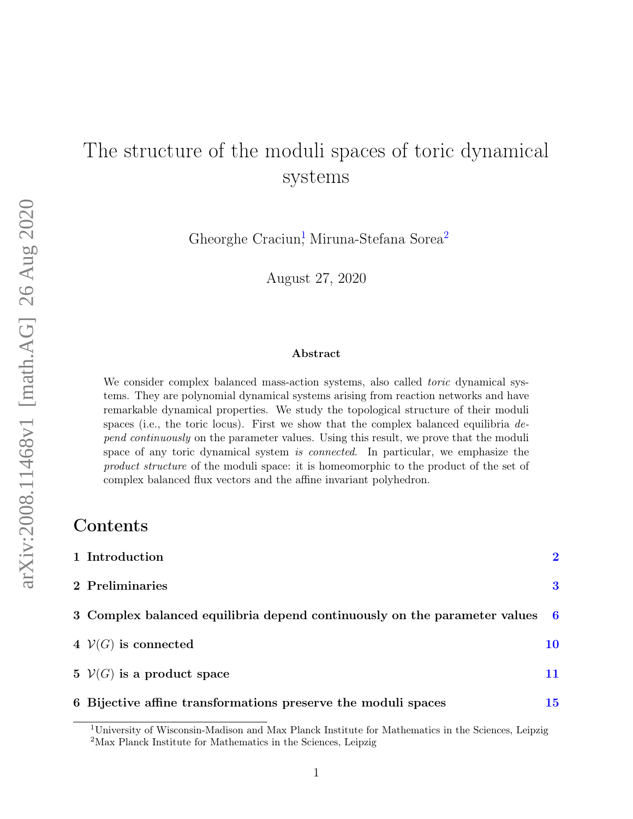# The structure of the moduli spaces of toric dynamical systems

Gheorghe Craciun<sup>1</sup>, Miruna-Stefana Sorea<sup>2</sup>

August 27, 2020

#### Abstract

We consider complex balanced mass-action systems, also called *toric* dynamical systems. They are polynomial dynamical systems arising from reaction networks and have remarkable dynamical properties. We study the topological structure of their moduli spaces (i.e., the toric locus). First we show that the complex balanced equilibria  $de$ pend continuously on the parameter values. Using this result, we prove that the moduli space of any toric dynamical system is connected. In particular, we emphasize the product structure of the moduli space: it is homeomorphic to the product of the set of complex balanced flux vectors and the affine invariant polyhedron.

## **Contents**

| 1 Introduction                                                              | $\overline{2}$ |
|-----------------------------------------------------------------------------|----------------|
| 2 Preliminaries                                                             | 3              |
| 3 Complex balanced equilibria depend continuously on the parameter values 6 |                |
| 4 $V(G)$ is connected                                                       | 10             |
| 5 $V(G)$ is a product space                                                 | 11             |
| 6 Bijective affine transformations preserve the moduli spaces               | 15             |

<sup>1</sup>University of Wisconsin-Madison and Max Planck Institute for Mathematics in the Sciences, Leipzig <sup>2</sup>Max Planck Institute for Mathematics in the Sciences, Leipzig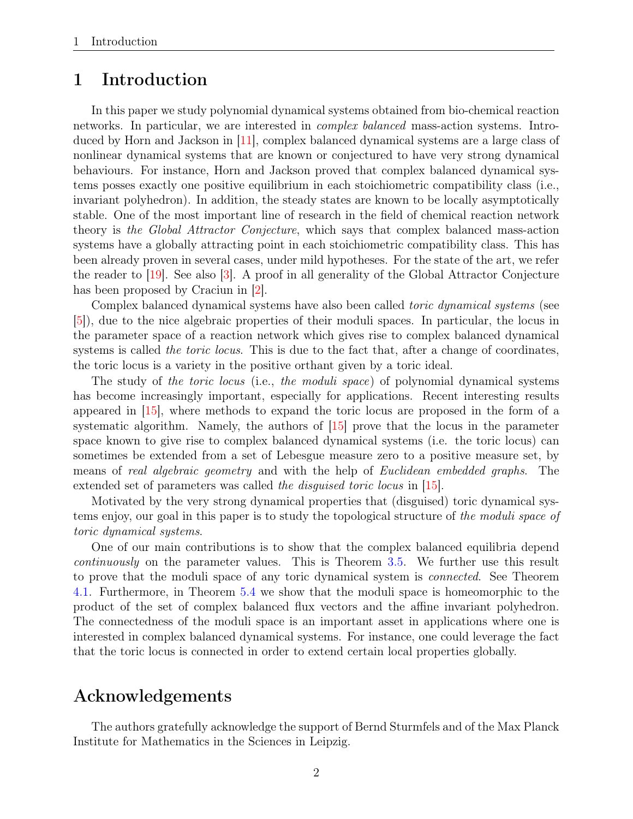### <span id="page-1-1"></span><span id="page-1-0"></span>1 Introduction

In this paper we study polynomial dynamical systems obtained from bio-chemical reaction networks. In particular, we are interested in complex balanced mass-action systems. Introduced by Horn and Jackson in [\[11\]](#page-15-0), complex balanced dynamical systems are a large class of nonlinear dynamical systems that are known or conjectured to have very strong dynamical behaviours. For instance, Horn and Jackson proved that complex balanced dynamical systems posses exactly one positive equilibrium in each stoichiometric compatibility class (i.e., invariant polyhedron). In addition, the steady states are known to be locally asymptotically stable. One of the most important line of research in the field of chemical reaction network theory is the Global Attractor Conjecture, which says that complex balanced mass-action systems have a globally attracting point in each stoichiometric compatibility class. This has been already proven in several cases, under mild hypotheses. For the state of the art, we refer the reader to [\[19\]](#page-15-1). See also [\[3\]](#page-14-1). A proof in all generality of the Global Attractor Conjecture has been proposed by Craciun in [\[2\]](#page-14-2).

Complex balanced dynamical systems have also been called toric dynamical systems (see [\[5\]](#page-14-3)), due to the nice algebraic properties of their moduli spaces. In particular, the locus in the parameter space of a reaction network which gives rise to complex balanced dynamical systems is called *the toric locus*. This is due to the fact that, after a change of coordinates, the toric locus is a variety in the positive orthant given by a toric ideal.

The study of the toric locus (i.e., the moduli space) of polynomial dynamical systems has become increasingly important, especially for applications. Recent interesting results appeared in [\[15\]](#page-15-2), where methods to expand the toric locus are proposed in the form of a systematic algorithm. Namely, the authors of [\[15\]](#page-15-2) prove that the locus in the parameter space known to give rise to complex balanced dynamical systems (i.e. the toric locus) can sometimes be extended from a set of Lebesgue measure zero to a positive measure set, by means of real algebraic geometry and with the help of Euclidean embedded graphs. The extended set of parameters was called the disquised toric locus in [\[15\]](#page-15-2).

Motivated by the very strong dynamical properties that (disguised) toric dynamical systems enjoy, our goal in this paper is to study the topological structure of the moduli space of toric dynamical systems.

One of our main contributions is to show that the complex balanced equilibria depend continuously on the parameter values. This is Theorem [3.5.](#page-7-0) We further use this result to prove that the moduli space of any toric dynamical system is connected. See Theorem [4.1.](#page-9-1) Furthermore, in Theorem [5.4](#page-11-0) we show that the moduli space is homeomorphic to the product of the set of complex balanced flux vectors and the affine invariant polyhedron. The connectedness of the moduli space is an important asset in applications where one is interested in complex balanced dynamical systems. For instance, one could leverage the fact that the toric locus is connected in order to extend certain local properties globally.

## Acknowledgements

The authors gratefully acknowledge the support of Bernd Sturmfels and of the Max Planck Institute for Mathematics in the Sciences in Leipzig.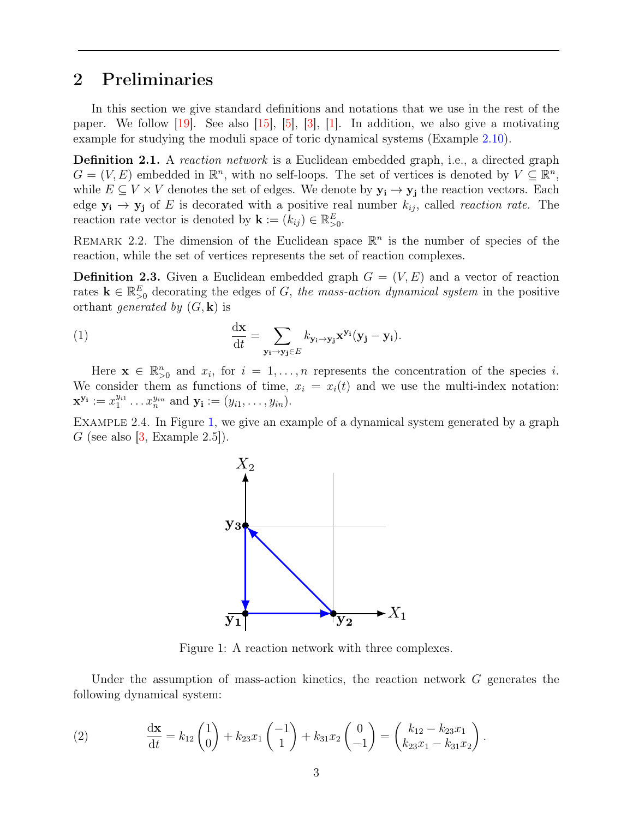## <span id="page-2-4"></span><span id="page-2-0"></span>2 Preliminaries

In this section we give standard definitions and notations that we use in the rest of the paper. We follow [\[19\]](#page-15-1). See also [\[15\]](#page-15-2), [\[5\]](#page-14-3), [\[3\]](#page-14-1), [\[1\]](#page-14-4). In addition, we also give a motivating example for studying the moduli space of toric dynamical systems (Example [2.10\)](#page-4-0).

Definition 2.1. A reaction network is a Euclidean embedded graph, i.e., a directed graph  $G = (V, E)$  embedded in  $\mathbb{R}^n$ , with no self-loops. The set of vertices is denoted by  $V \subseteq \mathbb{R}^n$ , while  $E \subseteq V \times V$  denotes the set of edges. We denote by  $y_i \to y_j$  the reaction vectors. Each edge  $y_i \rightarrow y_j$  of E is decorated with a positive real number  $k_{ij}$ , called *reaction rate*. The reaction rate vector is denoted by  $\mathbf{k} := (k_{ij}) \in \mathbb{R}_{>0}^E$ .

REMARK 2.2. The dimension of the Euclidean space  $\mathbb{R}^n$  is the number of species of the reaction, while the set of vertices represents the set of reaction complexes.

**Definition 2.3.** Given a Euclidean embedded graph  $G = (V, E)$  and a vector of reaction rates  $\mathbf{k} \in \mathbb{R}_{\geq 0}^E$  decorating the edges of G, the mass-action dynamical system in the positive orthant *generated by*  $(G, \mathbf{k})$  is

<span id="page-2-2"></span>(1) 
$$
\frac{\mathrm{d}\mathbf{x}}{\mathrm{d}t} = \sum_{\mathbf{y_i}\to\mathbf{y_j}\in E} k_{\mathbf{y_i}\to\mathbf{y_j}} \mathbf{x}^{\mathbf{y_i}} (\mathbf{y_j} - \mathbf{y_i}).
$$

Here  $\mathbf{x} \in \mathbb{R}_{>0}^n$  and  $x_i$ , for  $i = 1, \ldots, n$  represents the concentration of the species i. We consider them as functions of time,  $x_i = x_i(t)$  and we use the multi-index notation:  $\mathbf{x}^{\mathbf{y}_i} := x_1^{y_{i1}} \dots x_n^{y_{in}}$  and  $\mathbf{y}_i := (y_{i1}, \dots, y_{in}).$ 

<span id="page-2-3"></span><span id="page-2-1"></span>EXAMPLE 2.4. In Figure [1,](#page-2-1) we give an example of a dynamical system generated by a graph G (see also  $|3$ , Example 2.5.).



Figure 1: A reaction network with three complexes.

Under the assumption of mass-action kinetics, the reaction network  $G$  generates the following dynamical system:

(2) 
$$
\frac{d\mathbf{x}}{dt} = k_{12} \begin{pmatrix} 1 \\ 0 \end{pmatrix} + k_{23} x_1 \begin{pmatrix} -1 \\ 1 \end{pmatrix} + k_{31} x_2 \begin{pmatrix} 0 \\ -1 \end{pmatrix} = \begin{pmatrix} k_{12} - k_{23} x_1 \\ k_{23} x_1 - k_{31} x_2 \end{pmatrix}.
$$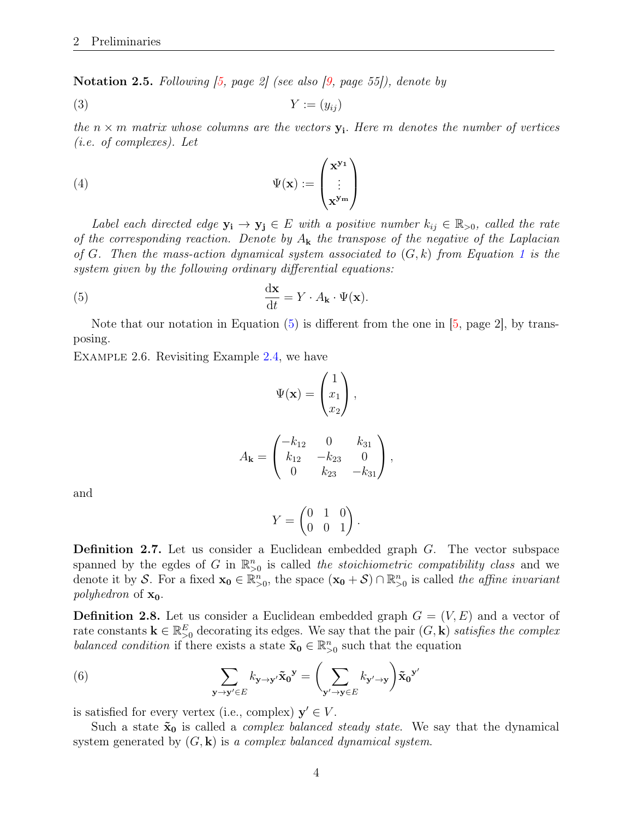<span id="page-3-4"></span><span id="page-3-1"></span>**Notation 2.5.** Following  $(5, page 2)$  (see also  $(9, page 55)$ ), denote by

$$
(3) \t\t Y := (y_{ij})
$$

the  $n \times m$  matrix whose columns are the vectors  $y_i$ . Here m denotes the number of vertices (i.e. of complexes). Let

(4) 
$$
\Psi(\mathbf{x}) := \begin{pmatrix} \mathbf{x}^{\mathbf{y}_1} \\ \vdots \\ \mathbf{x}^{\mathbf{y}_m} \end{pmatrix}
$$

Label each directed edge  $y_i \rightarrow y_j \in E$  with a positive number  $k_{ij} \in \mathbb{R}_{>0}$ , called the rate of the corresponding reaction. Denote by  $A_k$  the transpose of the negative of the Laplacian of G. Then the mass-action dynamical system associated to  $(G, k)$  from Equation [1](#page-2-2) is the system given by the following ordinary differential equations:

<span id="page-3-0"></span>(5) 
$$
\frac{\mathrm{d}\mathbf{x}}{\mathrm{d}t} = Y \cdot A_{\mathbf{k}} \cdot \Psi(\mathbf{x}).
$$

Note that our notation in Equation  $(5)$  is different from the one in  $[5, \text{page 2}]$  $[5, \text{page 2}]$ , by transposing.

Example 2.6. Revisiting Example [2.4,](#page-2-3) we have

$$
\Psi(\mathbf{x}) = \begin{pmatrix} 1 \\ x_1 \\ x_2 \end{pmatrix},
$$

$$
A_{\mathbf{k}} = \begin{pmatrix} -k_{12} & 0 & k_{31} \\ k_{12} & -k_{23} & 0 \\ 0 & k_{23} & -k_{31} \end{pmatrix},
$$

and

<span id="page-3-2"></span>
$$
Y = \begin{pmatrix} 0 & 1 & 0 \\ 0 & 0 & 1 \end{pmatrix}.
$$

Definition 2.7. Let us consider a Euclidean embedded graph G. The vector subspace spanned by the egdes of G in  $\mathbb{R}^n_{>0}$  is called the stoichiometric compatibility class and we denote it by S. For a fixed  $\mathbf{x_0} \in \mathbb{R}_{\geq 0}^n$ , the space  $(\mathbf{x_0} + \mathcal{S}) \cap \mathbb{R}_{\geq 0}^n$  is called the affine invariant *polyhedron* of  $x_0$ .

<span id="page-3-3"></span>**Definition 2.8.** Let us consider a Euclidean embedded graph  $G = (V, E)$  and a vector of rate constants  $\mathbf{k} \in \mathbb{R}_{\geq 0}^E$  decorating its edges. We say that the pair  $(G, \mathbf{k})$  satisfies the complex balanced condition if there exists a state  $\tilde{\mathbf{x}}_0 \in \mathbb{R}^n_{>0}$  such that the equation

(6) 
$$
\sum_{\mathbf{y}\to\mathbf{y}'\in E} k_{\mathbf{y}\to\mathbf{y}'}\tilde{\mathbf{x}}_0{}^{\mathbf{y}} = \left(\sum_{\mathbf{y}'\to\mathbf{y}\in E} k_{\mathbf{y}'\to\mathbf{y}}\right) \tilde{\mathbf{x}}_0{}^{\mathbf{y}'}
$$

is satisfied for every vertex (i.e., complex)  $y' \in V$ .

Such a state  $\tilde{\mathbf{x}}_0$  is called a *complex balanced steady state*. We say that the dynamical system generated by  $(G, \mathbf{k})$  is a complex balanced dynamical system.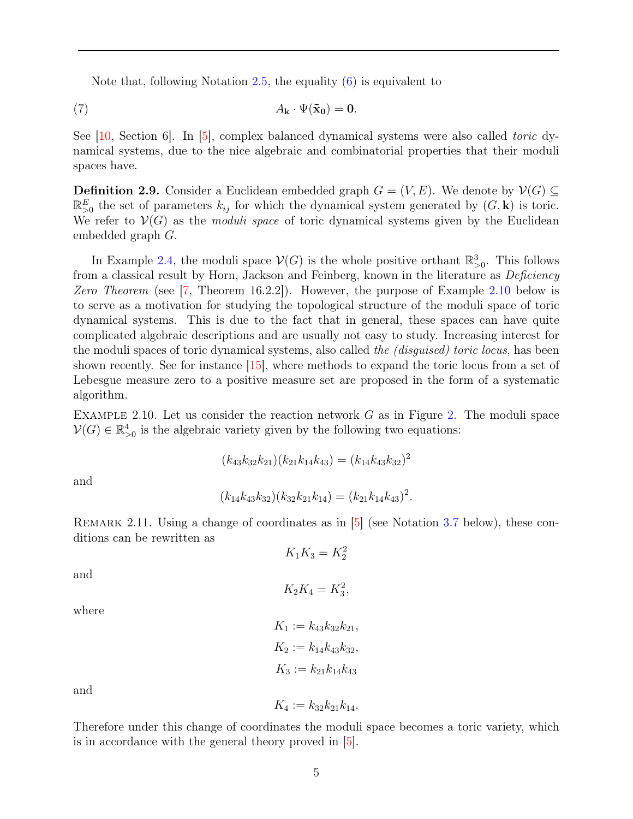<span id="page-4-3"></span><span id="page-4-2"></span>Note that, following Notation  $2.5$ , the equality  $(6)$  is equivalent to

(7) 
$$
A_{\mathbf{k}} \cdot \Psi(\tilde{\mathbf{x}}_0) = \mathbf{0}.
$$

See [\[10,](#page-15-4) Section 6]. In [\[5\]](#page-14-3), complex balanced dynamical systems were also called toric dynamical systems, due to the nice algebraic and combinatorial properties that their moduli spaces have.

**Definition 2.9.** Consider a Euclidean embedded graph  $G = (V, E)$ . We denote by  $V(G) \subseteq$  $\mathbb{R}_{>0}^E$  the set of parameters  $k_{ij}$  for which the dynamical system generated by  $(G, \mathbf{k})$  is toric. We refer to  $\mathcal{V}(G)$  as the *moduli space* of toric dynamical systems given by the Euclidean embedded graph G.

In Example [2.4,](#page-2-3) the moduli space  $\mathcal{V}(G)$  is the whole positive orthant  $\mathbb{R}^3_{>0}$ . This follows from a classical result by Horn, Jackson and Feinberg, known in the literature as *Deficiency* Zero Theorem (see [\[7,](#page-14-5) Theorem 16.2.2]). However, the purpose of Example [2.10](#page-4-0) below is to serve as a motivation for studying the topological structure of the moduli space of toric dynamical systems. This is due to the fact that in general, these spaces can have quite complicated algebraic descriptions and are usually not easy to study. Increasing interest for the moduli spaces of toric dynamical systems, also called the *(disguised) toric locus*, has been shown recently. See for instance [\[15\]](#page-15-2), where methods to expand the toric locus from a set of Lebesgue measure zero to a positive measure set are proposed in the form of a systematic algorithm.

<span id="page-4-0"></span>EXAMPLE [2.](#page-5-1)10. Let us consider the reaction network  $G$  as in Figure 2. The moduli space  $\mathcal{V}(G) \in \mathbb{R}_{>0}^4$  is the algebraic variety given by the following two equations:

$$
(k_{43}k_{32}k_{21})(k_{21}k_{14}k_{43}) = (k_{14}k_{43}k_{32})^2
$$

and

$$
(k_{14}k_{43}k_{32})(k_{32}k_{21}k_{14}) = (k_{21}k_{14}k_{43})^2.
$$

<span id="page-4-1"></span>REMARK 2.11. Using a change of coordinates as in [\[5\]](#page-14-3) (see Notation [3.7](#page-7-1) below), these conditions can be rewritten as

 $K_1K_3 = K_2^2$ 

and

$$
K_2K_4=K_3^2,
$$

where

$$
K_1 := k_{43}k_{32}k_{21},
$$
  
\n
$$
K_2 := k_{14}k_{43}k_{32},
$$
  
\n
$$
K_3 := k_{21}k_{14}k_{43}
$$

and

Therefore under this change of coordinates the moduli space becomes a toric variety, which is in accordance with the general theory proved in [\[5\]](#page-14-3).

 $K_4 := k_{32} k_{21} k_{14}.$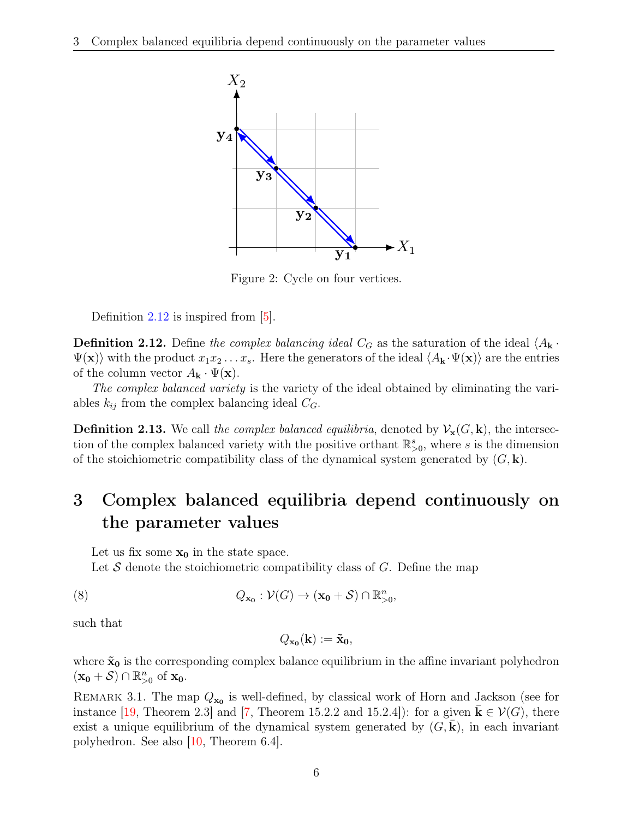<span id="page-5-5"></span><span id="page-5-1"></span>

Figure 2: Cycle on four vertices.

Definition [2.12](#page-5-2) is inspired from  $\vert 5 \vert$ .

<span id="page-5-2"></span>**Definition 2.12.** Define the complex balancing ideal  $C_G$  as the saturation of the ideal  $\langle A_{\mathbf{k}} \cdot \rangle$  $\Psi(\mathbf{x})$  with the product  $x_1x_2 \ldots x_s$ . Here the generators of the ideal  $\langle A_{\mathbf{k}} \cdot \Psi(\mathbf{x}) \rangle$  are the entries of the column vector  $A_{\mathbf{k}} \cdot \Psi(\mathbf{x})$ .

The complex balanced variety is the variety of the ideal obtained by eliminating the variables  $k_{ij}$  from the complex balancing ideal  $C_G$ .

**Definition 2.13.** We call the complex balanced equilibria, denoted by  $\mathcal{V}_{\mathbf{x}}(G, \mathbf{k})$ , the intersection of the complex balanced variety with the positive orthant  $\mathbb{R}^s_{>0}$ , where s is the dimension of the stoichiometric compatibility class of the dynamical system generated by  $(G, \mathbf{k})$ .

## <span id="page-5-0"></span>3 Complex balanced equilibria depend continuously on the parameter values

Let us fix some  $x_0$  in the state space.

Let  $S$  denote the stoichiometric compatibility class of  $G$ . Define the map

(8) 
$$
Q_{\mathbf{x_0}} : \mathcal{V}(G) \to (\mathbf{x_0} + \mathcal{S}) \cap \mathbb{R}_{>0}^n,
$$

such that

<span id="page-5-3"></span>
$$
Q_{\mathbf{x_0}}(\mathbf{k}) := \mathbf{\tilde{x}_0},
$$

where  $\tilde{\mathbf{x}}_0$  is the corresponding complex balance equilibrium in the affine invariant polyhedron  $(\mathbf{x_0} + \mathcal{S}) \cap \mathbb{R}_{>0}^n$  of  $\mathbf{x_0}$ .

<span id="page-5-4"></span>REMARK 3.1. The map  $Q_{\mathbf{x_0}}$  is well-defined, by classical work of Horn and Jackson (see for instance [\[19,](#page-15-1) Theorem 2.3] and [\[7,](#page-14-5) Theorem 15.2.2 and 15.2.4]): for a given  $\mathbf{k}\in\mathcal{V}(G)$ , there exist a unique equilibrium of the dynamical system generated by  $(G, \mathbf{k})$ , in each invariant polyhedron. See also  $\vert 10$ , Theorem 6.4.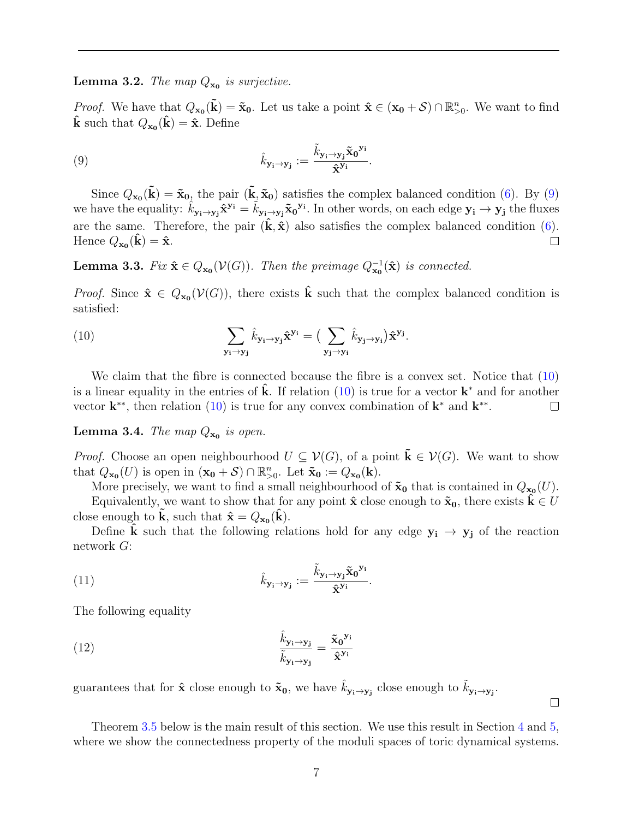<span id="page-6-3"></span>**Lemma 3.2.** The map  $Q_{\mathbf{x_0}}$  is surjective.

<span id="page-6-0"></span>*Proof.* We have that  $Q_{\mathbf{x_0}}(\tilde{\mathbf{k}}) = \tilde{\mathbf{x}}_0$ . Let us take a point  $\hat{\mathbf{x}} \in (\mathbf{x_0} + \mathcal{S}) \cap \mathbb{R}_{>0}^n$ . We want to find  $\hat{\mathbf{k}}$  such that  $Q_{\mathbf{x_0}}(\hat{\mathbf{k}}) = \hat{\mathbf{x}}$ . Define

(9) 
$$
\hat{k}_{\mathbf{y_i}\to\mathbf{y_j}} := \frac{\tilde{k}_{\mathbf{y_i}\to\mathbf{y_j}} \tilde{\mathbf{x}}_0^{\mathbf{y_i}}}{\tilde{\mathbf{x}}^{\mathbf{y_i}}}.
$$

Since  $Q_{\mathbf{x_0}}(\tilde{\mathbf{k}}) = \tilde{\mathbf{x}}_{0}$ , the pair  $(\tilde{\mathbf{k}}, \tilde{\mathbf{x}}_0)$  satisfies the complex balanced condition [\(6\)](#page-3-2). By [\(9\)](#page-6-0) we have the equality:  $\hat{k}_{\mathbf{y_i}\to\mathbf{y_j}}\hat{\mathbf{x}}^{\mathbf{y_i}} = \hat{k}_{\mathbf{y_i}\to\mathbf{y_j}}\tilde{\mathbf{x}}_0^{\mathbf{y_i}}$ . In other words, on each edge  $\mathbf{y_i} \to \mathbf{y_j}$  the fluxes are the same. Therefore, the pair  $(\hat{\mathbf{k}}, \hat{\mathbf{x}})$  also satisfies the complex balanced condition [\(6\)](#page-3-2). Hence  $Q_{\mathbf{x_0}}(\hat{\mathbf{k}}) = \hat{\mathbf{x}}$ .  $\Box$ 

<span id="page-6-4"></span>**Lemma 3.3.** Fix  $\hat{\mathbf{x}} \in Q_{\mathbf{x_0}}(\mathcal{V}(G))$ . Then the preimage  $Q_{\mathbf{x_0}}^{-1}(\hat{\mathbf{x}})$  is connected.

*Proof.* Since  $\hat{\mathbf{x}} \in Q_{\mathbf{x_0}}(\mathcal{V}(G))$ , there exists  $\hat{\mathbf{k}}$  such that the complex balanced condition is satisfied:

<span id="page-6-1"></span>(10) 
$$
\sum_{\mathbf{y_i}\to\mathbf{y_j}} \hat{k}_{\mathbf{y_i}\to\mathbf{y_j}} \hat{\mathbf{x}}^{\mathbf{y_i}} = \Big(\sum_{\mathbf{y_j}\to\mathbf{y_i}} \hat{k}_{\mathbf{y_j}\to\mathbf{y_i}}\Big) \hat{\mathbf{x}}^{\mathbf{y_j}}.
$$

We claim that the fibre is connected because the fibre is a convex set. Notice that  $(10)$ is a linear equality in the entries of  $\hat{\mathbf{k}}$ . If relation [\(10\)](#page-6-1) is true for a vector  $\mathbf{k}^*$  and for another vector  $\mathbf{k}^*$ , then relation [\(10\)](#page-6-1) is true for any convex combination of  $\mathbf{k}^*$  and  $\mathbf{k}^{**}$ .  $\Box$ 

<span id="page-6-2"></span>**Lemma 3.4.** The map  $Q_{\mathbf{x_0}}$  is open.

*Proof.* Choose an open neighbourhood  $U \subseteq V(G)$ , of a point  $\mathbf{k} \in V(G)$ . We want to show that  $Q_{\mathbf{x_0}}(U)$  is open in  $(\mathbf{x_0} + \mathcal{S}) \cap \mathbb{R}_{>0}^n$ . Let  $\mathbf{\tilde{x}_0} := Q_{\mathbf{x_0}}(\mathbf{k})$ .

More precisely, we want to find a small neighbourhood of  $\tilde{\mathbf{x}}_0$  that is contained in  $Q_{\mathbf{x}_0}(U)$ .

Equivalently, we want to show that for any point  $\hat{\mathbf{x}}$  close enough to  $\tilde{\mathbf{x}}_0$ , there exists  $\mathbf{k} \in U$ close enough to  $\tilde{\mathbf{k}}$ , such that  $\hat{\mathbf{x}} = Q_{\mathbf{x_0}}(\hat{\mathbf{k}})$ .

Define k such that the following relations hold for any edge  $y_i \rightarrow y_j$  of the reaction network G:

(11) 
$$
\hat{k}_{\mathbf{y_i} \to \mathbf{y_j}} := \frac{\tilde{k}_{\mathbf{y_i} \to \mathbf{y_j}} \tilde{\mathbf{x}}_0^{\mathbf{y_i}}}{\hat{\mathbf{x}}^{\mathbf{y_i}}}.
$$

The following equality

(12) 
$$
\frac{\hat{k}_{\mathbf{y}_{i}\rightarrow\mathbf{y}_{j}}}{\tilde{k}_{\mathbf{y}_{i}\rightarrow\mathbf{y}_{j}}} = \frac{\tilde{\mathbf{x}}_{0}^{\mathbf{y}_{i}}}{\hat{\mathbf{x}}^{\mathbf{y}_{i}}}
$$

guarantees that for  $\hat{\mathbf{x}}$  close enough to  $\tilde{\mathbf{x}}_0$ , we have  $\hat{k}_{\mathbf{y}_i \to \mathbf{y}_j}$  close enough to  $\tilde{k}_{\mathbf{y}_i \to \mathbf{y}_j}$ .

Theorem [3.5](#page-7-0) below is the main result of this section. We use this result in Section [4](#page-9-0) and [5,](#page-10-0) where we show the connectedness property of the moduli spaces of toric dynamical systems.

 $\Box$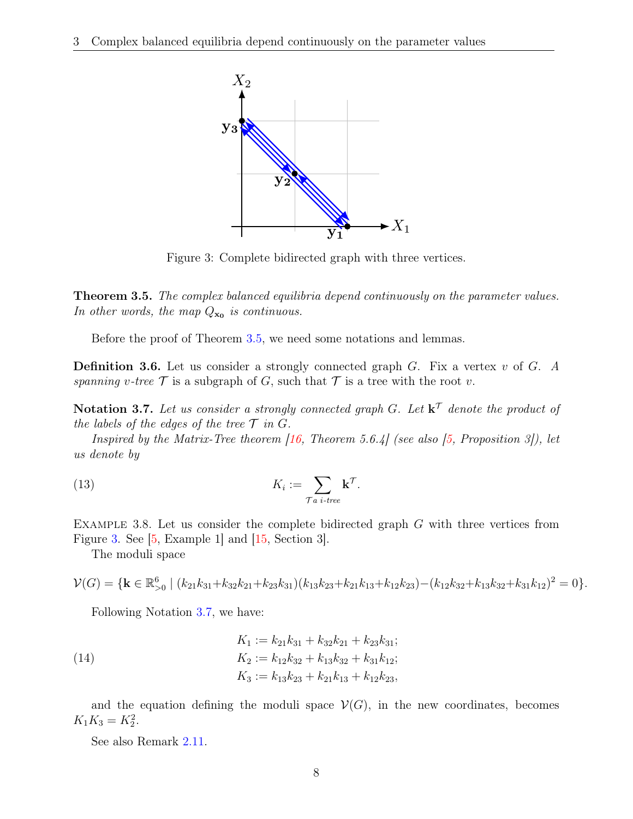<span id="page-7-3"></span><span id="page-7-2"></span>

Figure 3: Complete bidirected graph with three vertices.

<span id="page-7-0"></span>**Theorem 3.5.** The complex balanced equilibria depend continuously on the parameter values. In other words, the map  $Q_{\mathbf{x_0}}$  is continuous.

Before the proof of Theorem [3.5,](#page-7-0) we need some notations and lemmas.

**Definition 3.6.** Let us consider a strongly connected graph  $G$ . Fix a vertex  $v$  of  $G$ . A spanning v-tree  $\mathcal T$  is a subgraph of G, such that  $\mathcal T$  is a tree with the root v.

<span id="page-7-1"></span>**Notation 3.7.** Let us consider a strongly connected graph G. Let  $\mathbf{k}^{\mathcal{T}}$  denote the product of the labels of the edges of the tree  $\mathcal T$  in  $G$ .

Inspired by the Matrix-Tree theorem  $(16,$  Theorem 5.6.4] (see also [\[5,](#page-14-3) Proposition 3]), let us denote by

(13) 
$$
K_i := \sum_{\tau a \text{ } i \text{-tree}} \mathbf{k}^{\tau}.
$$

EXAMPLE 3.8. Let us consider the complete bidirected graph  $G$  with three vertices from Figure [3.](#page-7-2) See [\[5,](#page-14-3) Example 1] and [\[15,](#page-15-2) Section 3].

The moduli space

$$
\mathcal{V}(G) = \{ \mathbf{k} \in \mathbb{R}_{>0}^6 \mid (k_{21}k_{31} + k_{32}k_{21} + k_{23}k_{31})(k_{13}k_{23} + k_{21}k_{13} + k_{12}k_{23}) - (k_{12}k_{32} + k_{13}k_{32} + k_{31}k_{12})^2 = 0 \}.
$$

Following Notation [3.7,](#page-7-1) we have:

(14) 
$$
K_1 := k_{21}k_{31} + k_{32}k_{21} + k_{23}k_{31};
$$

$$
K_2 := k_{12}k_{32} + k_{13}k_{32} + k_{31}k_{12};
$$

$$
K_3 := k_{13}k_{23} + k_{21}k_{13} + k_{12}k_{23},
$$

and the equation defining the moduli space  $\mathcal{V}(G)$ , in the new coordinates, becomes  $K_1K_3 = K_2^2$ .

See also Remark [2.11.](#page-4-1)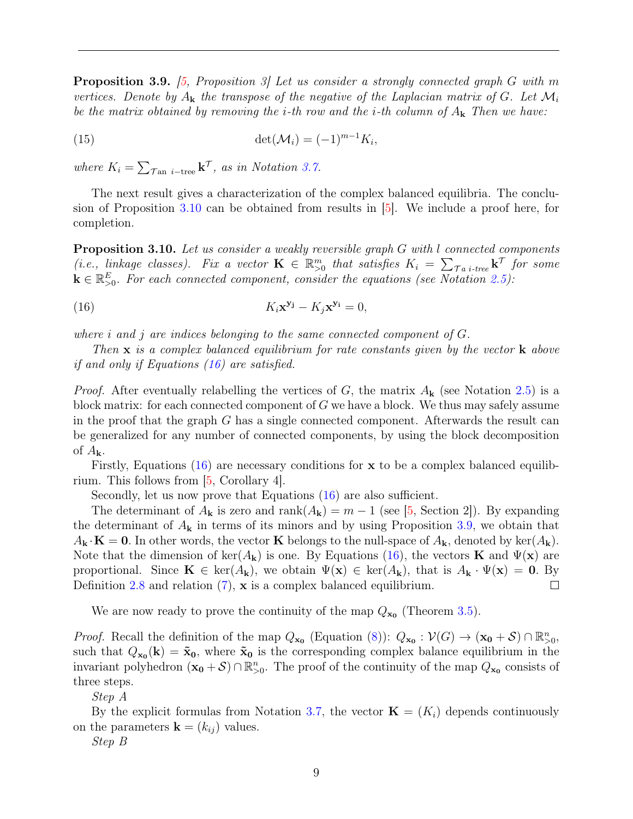<span id="page-8-3"></span><span id="page-8-2"></span>**Proposition 3.9.** [\[5,](#page-14-3) Proposition 3] Let us consider a strongly connected graph G with m vertices. Denote by  $A_k$  the transpose of the negative of the Laplacian matrix of G. Let  $\mathcal{M}_i$ be the matrix obtained by removing the *i*-th row and the *i*-th column of  $A_k$ . Then we have:

$$
\det(\mathcal{M}_i) = (-1)^{m-1} K_i,
$$

where  $K_i = \sum_{\text{Tan } i \text{-tree}} \mathbf{k}^{\text{T}}$ , as in Notation [3.7.](#page-7-1)

The next result gives a characterization of the complex balanced equilibria. The conclusion of Proposition [3.10](#page-8-0) can be obtained from results in [\[5\]](#page-14-3). We include a proof here, for completion.

<span id="page-8-0"></span>**Proposition 3.10.** Let us consider a weakly reversible graph G with l connected components (i.e., linkage classes). Fix a vector  $\mathbf{K} \in \mathbb{R}_{>0}^m$  that satisfies  $K_i = \sum_{\tau} \tau_i$  for some  $\mathbf{k} \in \mathbb{R}_{>0}^E$ . For each connected component, consider the equations (see Notation [2.5\)](#page-3-1):

<span id="page-8-1"></span>(16) 
$$
K_i \mathbf{x}^{\mathbf{y}_j} - K_j \mathbf{x}^{\mathbf{y}_i} = 0,
$$

where i and j are indices belonging to the same connected component of  $G$ .

Then  $x$  is a complex balanced equilibrium for rate constants given by the vector  $k$  above if and only if Equations [\(16\)](#page-8-1) are satisfied.

*Proof.* After eventually relabelling the vertices of G, the matrix  $A_{\bf k}$  (see Notation [2.5\)](#page-3-1) is a block matrix: for each connected component of  $G$  we have a block. We thus may safely assume in the proof that the graph  $G$  has a single connected component. Afterwards the result can be generalized for any number of connected components, by using the block decomposition of  $A_{\mathbf{k}}$ .

Firstly, Equations [\(16\)](#page-8-1) are necessary conditions for  $x$  to be a complex balanced equilibrium. This follows from [\[5,](#page-14-3) Corollary 4].

Secondly, let us now prove that Equations [\(16\)](#page-8-1) are also sufficient.

The determinant of  $A_{\mathbf{k}}$  is zero and rank $(A_{\mathbf{k}}) = m - 1$  (see [\[5,](#page-14-3) Section 2]). By expanding the determinant of  $A_{\bf k}$  in terms of its minors and by using Proposition [3.9,](#page-8-2) we obtain that  $A_{\mathbf{k}} \cdot \mathbf{K} = \mathbf{0}$ . In other words, the vector **K** belongs to the null-space of  $A_{\mathbf{k}}$ , denoted by ker $(A_{\mathbf{k}})$ . Note that the dimension of ker( $A_{\bf k}$ ) is one. By Equations [\(16\)](#page-8-1), the vectors **K** and  $\Psi({\bf x})$  are proportional. Since  $\mathbf{K} \in \text{ker}(A_{\mathbf{k}})$ , we obtain  $\Psi(\mathbf{x}) \in \text{ker}(A_{\mathbf{k}})$ , that is  $A_{\mathbf{k}} \cdot \Psi(\mathbf{x}) = \mathbf{0}$ . By Definition [2.8](#page-3-3) and relation [\(7\)](#page-4-2), **x** is a complex balanced equilibrium.  $\Box$ 

We are now ready to prove the continuity of the map  $Q_{\mathbf{x_0}}$  (Theorem [3.5\)](#page-7-0).

*Proof.* Recall the definition of the map  $Q_{\mathbf{x_0}}$  (Equation [\(8\)](#page-5-3)):  $Q_{\mathbf{x_0}} : \mathcal{V}(G) \to (\mathbf{x_0} + \mathcal{S}) \cap \mathbb{R}_{>0}^n$ , such that  $Q_{\mathbf{x_0}}(\mathbf{k}) = \tilde{\mathbf{x}}_0$ , where  $\tilde{\mathbf{x}}_0$  is the corresponding complex balance equilibrium in the invariant polyhedron  $(\mathbf{x_0} + \mathcal{S}) \cap \mathbb{R}_{\geq 0}^n$ . The proof of the continuity of the map  $Q_{\mathbf{x_0}}$  consists of three steps.

Step A

By the explicit formulas from Notation [3.7,](#page-7-1) the vector  $\mathbf{K} = (K_i)$  depends continuously on the parameters  $\mathbf{k} = (k_{ij})$  values.

Step B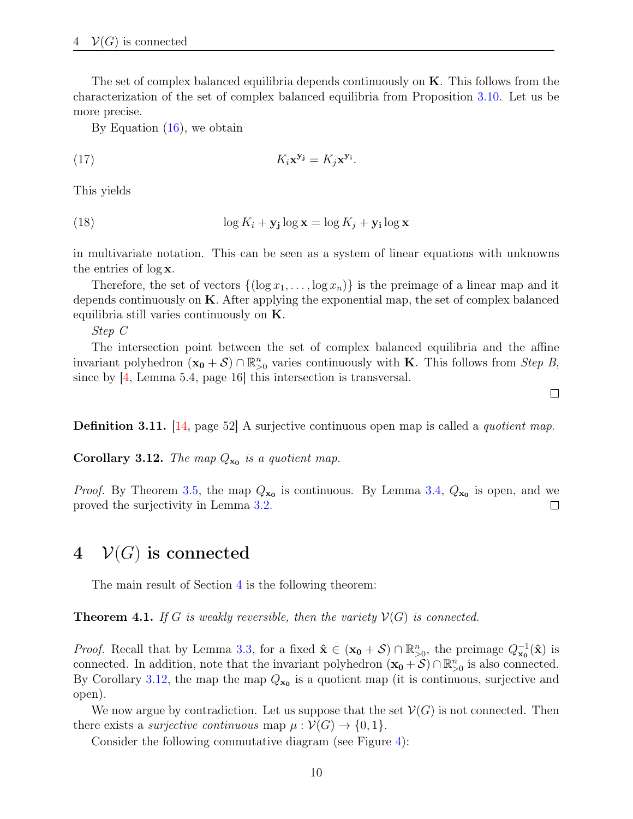<span id="page-9-3"></span>The set of complex balanced equilibria depends continuously on  $K$ . This follows from the characterization of the set of complex balanced equilibria from Proposition [3.10.](#page-8-0) Let us be more precise.

By Equation [\(16\)](#page-8-1), we obtain

$$
K_i \mathbf{x}^{\mathbf{y}_j} = K_j \mathbf{x}^{\mathbf{y}_i}.
$$

This yields

(18) 
$$
\log K_i + \mathbf{y_j} \log \mathbf{x} = \log K_j + \mathbf{y_i} \log \mathbf{x}
$$

in multivariate notation. This can be seen as a system of linear equations with unknowns the entries of log x.

Therefore, the set of vectors  $\{(\log x_1, \ldots, \log x_n)\}\$ is the preimage of a linear map and it depends continuously on  $K$ . After applying the exponential map, the set of complex balanced equilibria still varies continuously on K.

Step C

The intersection point between the set of complex balanced equilibria and the affine invariant polyhedron  $(\mathbf{x_0} + \mathcal{S}) \cap \mathbb{R}_{\geq 0}^n$  varies continuously with **K**. This follows from *Step B*, since by  $\left|4\right|$ . Lemma 5.4, page 16 this intersection is transversal.

 $\Box$ 

Definition 3.11. [\[14,](#page-15-6) page 52] A surjective continuous open map is called a *quotient map*.

<span id="page-9-2"></span>**Corollary 3.12.** The map  $Q_{\mathbf{x_0}}$  is a quotient map.

*Proof.* By Theorem [3.5,](#page-7-0) the map  $Q_{\mathbf{x_0}}$  is continuous. By Lemma [3.4,](#page-6-2)  $Q_{\mathbf{x_0}}$  is open, and we proved the surjectivity in Lemma [3.2.](#page-6-3)  $\Box$ 

## <span id="page-9-0"></span>4  $V(G)$  is connected

The main result of Section [4](#page-9-0) is the following theorem:

<span id="page-9-1"></span>**Theorem 4.1.** If G is weakly reversible, then the variety  $\mathcal{V}(G)$  is connected.

*Proof.* Recall that by Lemma [3.3,](#page-6-4) for a fixed  $\hat{\mathbf{x}} \in (\mathbf{x_0} + \mathcal{S}) \cap \mathbb{R}_{>0}^n$ , the preimage  $Q_{\mathbf{x_0}}^{-1}(\hat{\mathbf{x}})$  is connected. In addition, note that the invariant polyhedron  $(\mathbf{x}_0 + \mathcal{S}) \cap \mathbb{R}_{>0}^n$  is also connected. By Corollary [3.12,](#page-9-2) the map the map  $Q_{\mathbf{x_0}}$  is a quotient map (it is continuous, surjective and open).

We now argue by contradiction. Let us suppose that the set  $\mathcal{V}(G)$  is not connected. Then there exists a *surjective continuous* map  $\mu : \mathcal{V}(G) \to \{0, 1\}.$ 

Consider the following commutative diagram (see Figure [4\)](#page-10-1):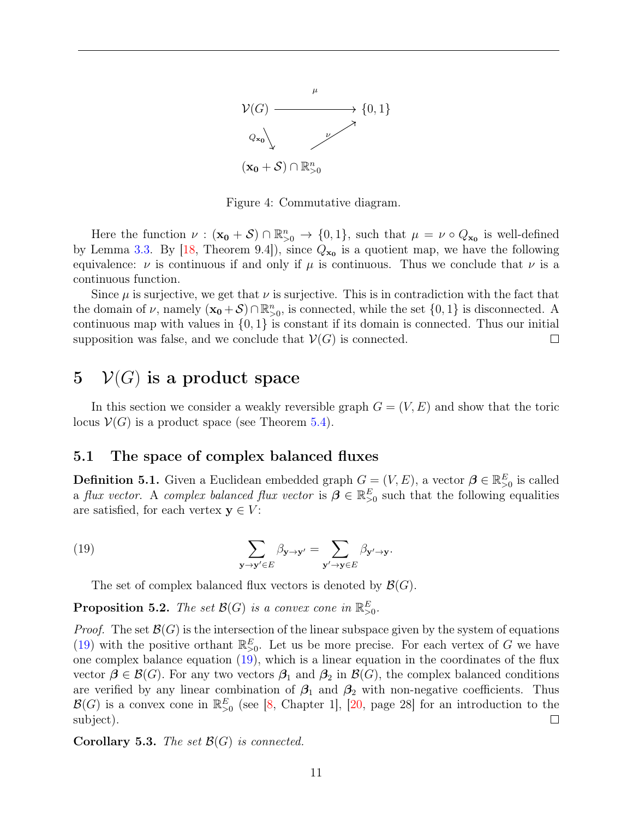<span id="page-10-4"></span>

Figure 4: Commutative diagram.

<span id="page-10-1"></span>Here the function  $\nu : (\mathbf{x_0} + \mathcal{S}) \cap \mathbb{R}_{\geq 0}^n \to \{0,1\}$ , such that  $\mu = \nu \circ Q_{\mathbf{x_0}}$  is well-defined by Lemma [3.3.](#page-6-4) By  $[18,$  Theorem 9.4]), since  $Q_{\mathbf{x_0}}$  is a quotient map, we have the following equivalence:  $\nu$  is continuous if and only if  $\mu$  is continuous. Thus we conclude that  $\nu$  is a continuous function.

Since  $\mu$  is surjective, we get that  $\nu$  is surjective. This is in contradiction with the fact that the domain of  $\nu$ , namely  $(\mathbf{x_0} + \mathcal{S}) \cap \mathbb{R}_{>0}^n$ , is connected, while the set  $\{0, 1\}$  is disconnected. A continuous map with values in  $\{0, 1\}$  is constant if its domain is connected. Thus our initial supposition was false, and we conclude that  $\mathcal{V}(G)$  is connected.  $\Box$ 

## <span id="page-10-0"></span>5  $V(G)$  is a product space

In this section we consider a weakly reversible graph  $G = (V, E)$  and show that the toric locus  $V(G)$  is a product space (see Theorem [5.4\)](#page-11-0).

### 5.1 The space of complex balanced fluxes

<span id="page-10-3"></span>**Definition 5.1.** Given a Euclidean embedded graph  $G = (V, E)$ , a vector  $\boldsymbol{\beta} \in \mathbb{R}^E_{>0}$  is called a flux vector. A complex balanced flux vector is  $\boldsymbol{\beta} \in \mathbb{R}^E_{\geq 0}$  such that the following equalities are satisfied, for each vertex  $y \in V$ :

<span id="page-10-2"></span>(19) 
$$
\sum_{\mathbf{y}\to\mathbf{y}'\in E}\beta_{\mathbf{y}\to\mathbf{y}'}=\sum_{\mathbf{y}'\to\mathbf{y}\in E}\beta_{\mathbf{y}'\to\mathbf{y}}.
$$

The set of complex balanced flux vectors is denoted by  $\mathcal{B}(G)$ .

**Proposition 5.2.** The set  $\mathcal{B}(G)$  is a convex cone in  $\mathbb{R}^E_{\geq 0}$ .

*Proof.* The set  $\mathcal{B}(G)$  is the intersection of the linear subspace given by the system of equations [\(19\)](#page-10-2) with the positive orthant  $\mathbb{R}_{>0}^E$ . Let us be more precise. For each vertex of G we have one complex balance equation [\(19\)](#page-10-2), which is a linear equation in the coordinates of the flux vector  $\beta \in \mathcal{B}(G)$ . For any two vectors  $\beta_1$  and  $\beta_2$  in  $\mathcal{B}(G)$ , the complex balanced conditions are verified by any linear combination of  $\beta_1$  and  $\beta_2$  with non-negative coefficients. Thus  $\mathcal{B}(G)$  is a convex cone in  $\mathbb{R}_{>0}^E$  (see [\[8,](#page-14-7) Chapter 1], [\[20,](#page-15-8) page 28] for an introduction to the subject).  $\Box$ 

**Corollary 5.3.** The set  $\mathcal{B}(G)$  is connected.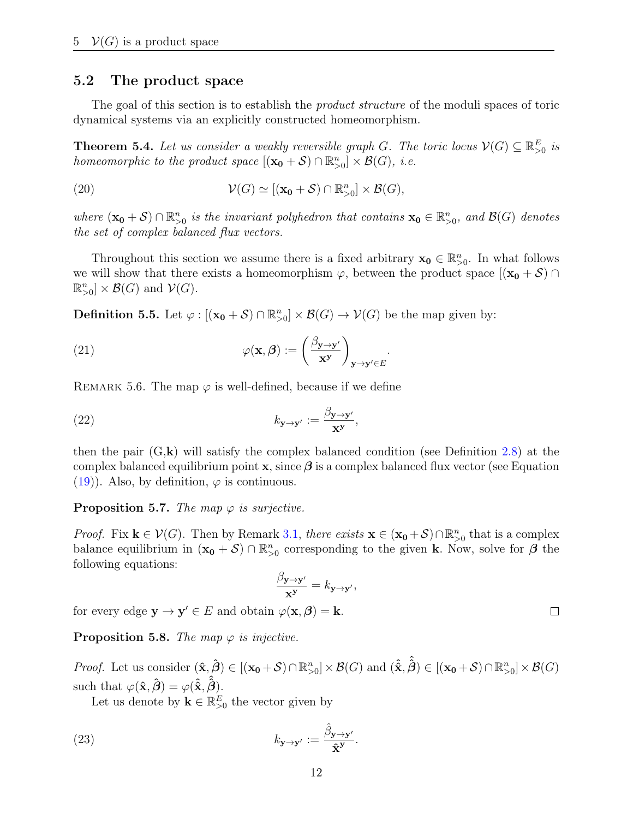### 5.2 The product space

The goal of this section is to establish the *product structure* of the moduli spaces of toric dynamical systems via an explicitly constructed homeomorphism.

<span id="page-11-0"></span>**Theorem 5.4.** Let us consider a weakly reversible graph G. The toric locus  $V(G) \subseteq \mathbb{R}_{\geq 0}^E$  is homeomorphic to the product space  $[(\mathbf{x_0} + \mathcal{S}) \cap \mathbb{R}_{>0}^n] \times \mathcal{B}(G)$ , i.e.

(20) 
$$
\mathcal{V}(G) \simeq [(\mathbf{x_0} + \mathcal{S}) \cap \mathbb{R}_{>0}^n] \times \mathcal{B}(G),
$$

where  $(\mathbf{x_0} + \mathcal{S}) \cap \mathbb{R}_{>0}^n$  is the invariant polyhedron that contains  $\mathbf{x_0} \in \mathbb{R}_{>0}^n$ , and  $\mathcal{B}(G)$  denotes the set of complex balanced flux vectors.

Throughout this section we assume there is a fixed arbitrary  $x_0 \in \mathbb{R}^n_{>0}$ . In what follows we will show that there exists a homeomorphism  $\varphi$ , between the product space  $[(x_0 + S) \cap$  $\mathbb{R}_{>0}^n] \times \mathcal{B}(G)$  and  $\mathcal{V}(G)$ .

**Definition 5.5.** Let  $\varphi : [(\mathbf{x_0} + \mathcal{S}) \cap \mathbb{R}_{>0}^n] \times \mathcal{B}(G) \to \mathcal{V}(G)$  be the map given by:

(21) 
$$
\varphi(\mathbf{x}, \boldsymbol{\beta}) := \left(\frac{\beta_{\mathbf{y} \to \mathbf{y}'}}{\mathbf{x}^{\mathbf{y}}}\right)_{\mathbf{y} \to \mathbf{y}' \in E}.
$$

<span id="page-11-5"></span>REMARK 5.6. The map  $\varphi$  is well-defined, because if we define

(22) 
$$
k_{\mathbf{y}\to\mathbf{y}'} := \frac{\beta_{\mathbf{y}\to\mathbf{y}'}}{\mathbf{x}^{\mathbf{y}}},
$$

then the pair  $(G, \mathbf{k})$  will satisfy the complex balanced condition (see Definition [2.8\)](#page-3-3) at the complex balanced equilibrium point  $x$ , since  $\beta$  is a complex balanced flux vector (see Equation [\(19\)](#page-10-2)). Also, by definition,  $\varphi$  is continuous.

### <span id="page-11-4"></span>**Proposition 5.7.** The map  $\varphi$  is surjective.

*Proof.* Fix  $\mathbf{k} \in \mathcal{V}(G)$ . Then by Remark [3.1,](#page-5-4) there exists  $\mathbf{x} \in (\mathbf{x_0} + \mathcal{S}) \cap \mathbb{R}_{>0}^n$  that is a complex balance equilibrium in  $(\mathbf{x}_0 + \mathcal{S}) \cap \mathbb{R}_{\geq 0}^n$  corresponding to the given k. Now, solve for  $\boldsymbol{\beta}$  the following equations:

<span id="page-11-2"></span>
$$
\frac{\beta_{\mathbf{y}\to\mathbf{y'}}}{\mathbf{x}^{\mathbf{y}}}=k_{\mathbf{y}\to\mathbf{y'}},
$$

for every edge  $y \rightarrow y' \in E$  and obtain  $\varphi(x, \beta) = k$ .

<span id="page-11-3"></span>**Proposition 5.8.** The map  $\varphi$  is injective.

*Proof.* Let us consider  $(\hat{\mathbf{x}}, \hat{\boldsymbol{\beta}}) \in [(\mathbf{x_0} + \mathcal{S}) \cap \mathbb{R}_{>0}^n] \times \mathcal{B}(G)$  and  $(\hat{\hat{\mathbf{x}}}, \hat{\hat{\boldsymbol{\beta}}}) \in [(\mathbf{x_0} + \mathcal{S}) \cap \mathbb{R}_{>0}^n] \times \mathcal{B}(G)$ such that  $\varphi(\hat{\mathbf{x}}, \hat{\boldsymbol{\beta}}) = \varphi(\hat{\hat{\mathbf{x}}}, \hat{\hat{\boldsymbol{\beta}}}).$ 

Let us denote by  $\mathbf{k} \in \mathbb{R}_{>0}^E$  the vector given by

(23) 
$$
k_{\mathbf{y}\to\mathbf{y}'} := \frac{\hat{\beta}_{\mathbf{y}\to\mathbf{y}'}}{\hat{\mathbf{x}}^{\mathbf{y}}}.
$$

<span id="page-11-1"></span> $\Box$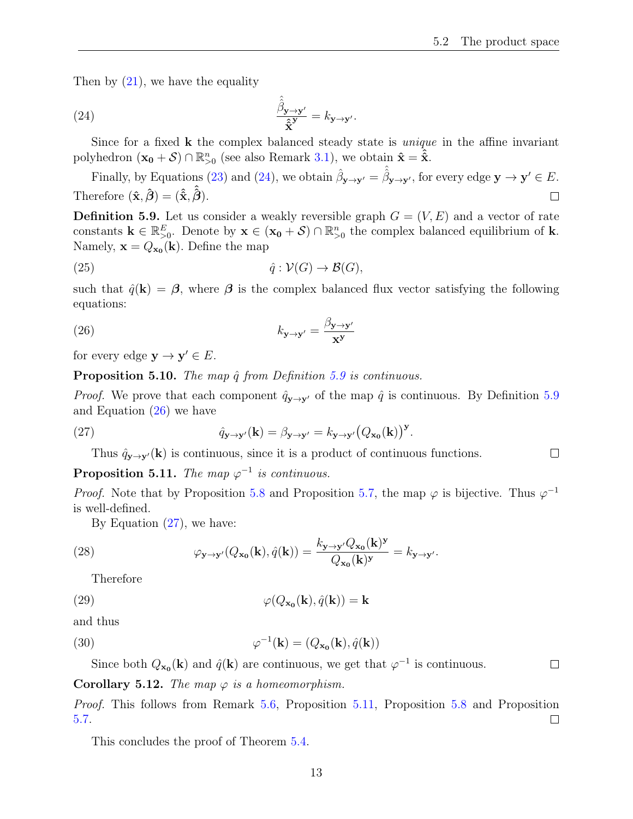$\Box$ 

<span id="page-12-0"></span>Then by  $(21)$ , we have the equality

(24) 
$$
\frac{\hat{\hat{\beta}}_{\mathbf{y}\to\mathbf{y}'}}{\hat{\mathbf{x}}^{\mathbf{y}}} = k_{\mathbf{y}\to\mathbf{y}'}.
$$

Since for a fixed **k** the complex balanced steady state is *unique* in the affine invariant polyhedron  $(\mathbf{x_0} + \mathcal{S}) \cap \mathbb{R}_{>0}^n$  (see also Remark [3.1\)](#page-5-4), we obtain  $\hat{\mathbf{x}} = \hat{\hat{\mathbf{x}}}$ .

Finally, by Equations [\(23\)](#page-11-2) and [\(24\)](#page-12-0), we obtain  $\hat{\beta}_{\mathbf{y}\to\mathbf{y}'} = \hat{\beta}_{\mathbf{y}\to\mathbf{y}'}$ , for every edge  $\mathbf{y} \to \mathbf{y}' \in E$ . Therefore  $(\hat{\mathbf{x}}, \hat{\boldsymbol{\beta}}) = (\hat{\hat{\mathbf{x}}}, \hat{\hat{\boldsymbol{\beta}}}).$  $\Box$ 

<span id="page-12-1"></span>**Definition 5.9.** Let us consider a weakly reversible graph  $G = (V, E)$  and a vector of rate constants  $\mathbf{k} \in \mathbb{R}_{\geq 0}^E$ . Denote by  $\mathbf{x} \in (\mathbf{x}_0 + \mathcal{S}) \cap \mathbb{R}_{\geq 0}^n$  the complex balanced equilibrium of  $\mathbf{k}$ . Namely,  $\mathbf{x} = Q_{\mathbf{x_0}}(\mathbf{k})$ . Define the map

(25) 
$$
\hat{q}: \mathcal{V}(G) \to \mathcal{B}(G),
$$

<span id="page-12-2"></span>such that  $\hat{q}(\mathbf{k}) = \boldsymbol{\beta}$ , where  $\boldsymbol{\beta}$  is the complex balanced flux vector satisfying the following equations:

(26) 
$$
k_{\mathbf{y}\to\mathbf{y}'} = \frac{\beta_{\mathbf{y}\to\mathbf{y}'}}{\mathbf{x}^{\mathbf{y}}}
$$

for every edge  $y \rightarrow y' \in E$ .

**Proposition 5.10.** The map  $\hat{q}$  from Definition [5.9](#page-12-1) is continuous.

*Proof.* We prove that each component  $\hat{q}_{\mathbf{y}\to\mathbf{y}'}$  of the map  $\hat{q}$  is continuous. By Definition [5.9](#page-12-1) and Equation [\(26\)](#page-12-2) we have

.

(27) 
$$
\hat{q}_{\mathbf{y}\to\mathbf{y}'}(\mathbf{k}) = \beta_{\mathbf{y}\to\mathbf{y}'} = k_{\mathbf{y}\to\mathbf{y}'} (Q_{\mathbf{x}_0}(\mathbf{k}))^{\mathbf{y}}
$$

<span id="page-12-3"></span>Thus  $\hat{q}_{\mathbf{y}\to\mathbf{y'}}(\mathbf{k})$  is continuous, since it is a product of continuous functions.

<span id="page-12-4"></span>**Proposition 5.11.** The map  $\varphi^{-1}$  is continuous.

*Proof.* Note that by Proposition [5.8](#page-11-3) and Proposition [5.7,](#page-11-4) the map  $\varphi$  is bijective. Thus  $\varphi^{-1}$ is well-defined.

By Equation [\(27\)](#page-12-3), we have:

(28) 
$$
\varphi_{\mathbf{y}\to\mathbf{y}'}(Q_{\mathbf{x_0}}(\mathbf{k}),\hat{q}(\mathbf{k}))=\frac{k_{\mathbf{y}\to\mathbf{y}'}Q_{\mathbf{x_0}}(\mathbf{k})^{\mathbf{y}}}{Q_{\mathbf{x_0}}(\mathbf{k})^{\mathbf{y}}}=k_{\mathbf{y}\to\mathbf{y}'}.
$$

Therefore

(29) 
$$
\varphi(Q_{\mathbf{x_0}}(\mathbf{k}), \hat{q}(\mathbf{k})) = \mathbf{k}
$$

and thus

(30) 
$$
\varphi^{-1}(\mathbf{k}) = (Q_{\mathbf{x_0}}(\mathbf{k}), \hat{q}(\mathbf{k}))
$$

Since both  $Q_{\mathbf{x_0}}(\mathbf{k})$  and  $\hat{q}(\mathbf{k})$  are continuous, we get that  $\varphi^{-1}$  is continuous.  $\Box$ 

**Corollary 5.12.** The map  $\varphi$  is a homeomorphism.

*Proof.* This follows from Remark [5.6,](#page-11-5) Proposition [5.11,](#page-12-4) Proposition [5.8](#page-11-3) and Proposition [5.7.](#page-11-4)  $\Box$ 

This concludes the proof of Theorem [5.4.](#page-11-0)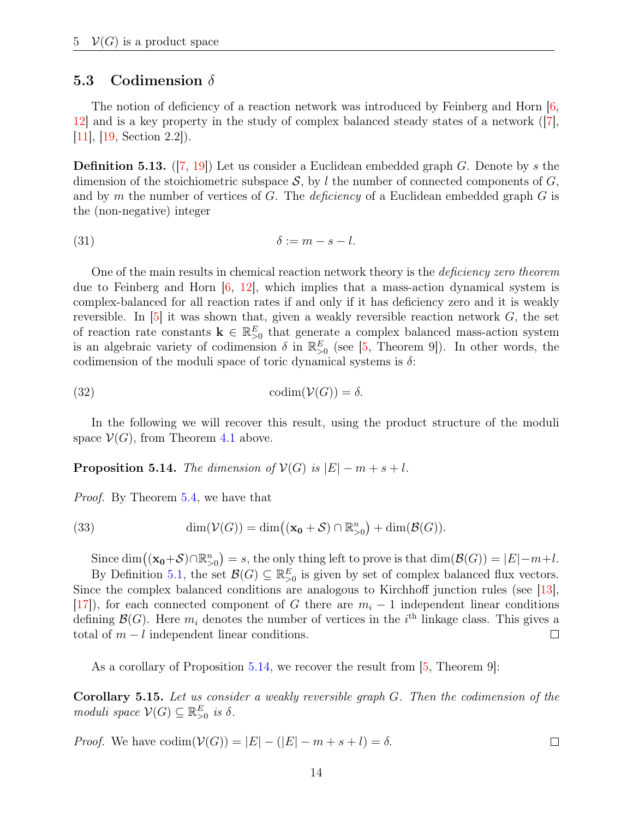### <span id="page-13-1"></span>5.3 Codimension  $\delta$

The notion of deficiency of a reaction network was introduced by Feinberg and Horn  $\left|6\right|$ , [12\]](#page-15-9) and is a key property in the study of complex balanced steady states of a network ([\[7\]](#page-14-5), [\[11\]](#page-15-0), [\[19,](#page-15-1) Section 2.2]).

**Definition 5.13.** ([\[7,](#page-14-5) [19\]](#page-15-1)) Let us consider a Euclidean embedded graph G. Denote by s the dimension of the stoichiometric subspace  $S$ , by l the number of connected components of  $G$ , and by m the number of vertices of  $G$ . The *deficiency* of a Euclidean embedded graph  $G$  is the (non-negative) integer

$$
\delta := m - s - l.
$$

One of the main results in chemical reaction network theory is the deficiency zero theorem due to Feinberg and Horn  $[6, 12]$  $[6, 12]$  $[6, 12]$ , which implies that a mass-action dynamical system is complex-balanced for all reaction rates if and only if it has deficiency zero and it is weakly reversible. In  $[5]$  it was shown that, given a weakly reversible reaction network  $G$ , the set of reaction rate constants  $\mathbf{k} \in \mathbb{R}_{\geq 0}^E$  that generate a complex balanced mass-action system is an algebraic variety of codimension  $\delta$  in  $\mathbb{R}^E_{>0}$  (see [\[5,](#page-14-3) Theorem 9]). In other words, the codimension of the moduli space of toric dynamical systems is  $\delta$ :

(32) 
$$
\operatorname{codim}(\mathcal{V}(G)) = \delta.
$$

In the following we will recover this result, using the product structure of the moduli space  $\mathcal{V}(G)$ , from Theorem [4.1](#page-9-1) above.

<span id="page-13-0"></span>**Proposition 5.14.** The dimension of  $\mathcal{V}(G)$  is  $|E| - m + s + l$ .

Proof. By Theorem [5.4,](#page-11-0) we have that

(33) 
$$
\dim(\mathcal{V}(G)) = \dim((\mathbf{x_0} + \mathcal{S}) \cap \mathbb{R}_{>0}^n) + \dim(\mathcal{B}(G)).
$$

Since  $\dim((\mathbf{x_0}+\mathcal{S}) \cap \mathbb{R}_{>0}^n) = s$ , the only thing left to prove is that  $\dim(\mathcal{B}(G)) = |E|-m+l$ .

By Definition [5.1,](#page-10-3) the set  $\mathcal{B}(G) \subseteq \mathbb{R}_{\geq 0}^E$  is given by set of complex balanced flux vectors. Since the complex balanced conditions are analogous to Kirchhoff junction rules (see [\[13\]](#page-15-10), [\[17\]](#page-15-11)), for each connected component of G there are  $m<sub>i</sub> - 1$  independent linear conditions defining  $\mathcal{B}(G)$ . Here  $m_i$  denotes the number of vertices in the i<sup>th</sup> linkage class. This gives a total of  $m - l$  independent linear conditions.  $\Box$ 

As a corollary of Proposition [5.14,](#page-13-0) we recover the result from [\[5,](#page-14-3) Theorem 9]:

Corollary 5.15. Let us consider a weakly reversible graph G. Then the codimension of the moduli space  $\mathcal{V}(G) \subseteq \mathbb{R}^E_{\geq 0}$  is  $\delta$ .

*Proof.* We have 
$$
\text{codim}(\mathcal{V}(G)) = |E| - (|E| - m + s + l) = \delta
$$
.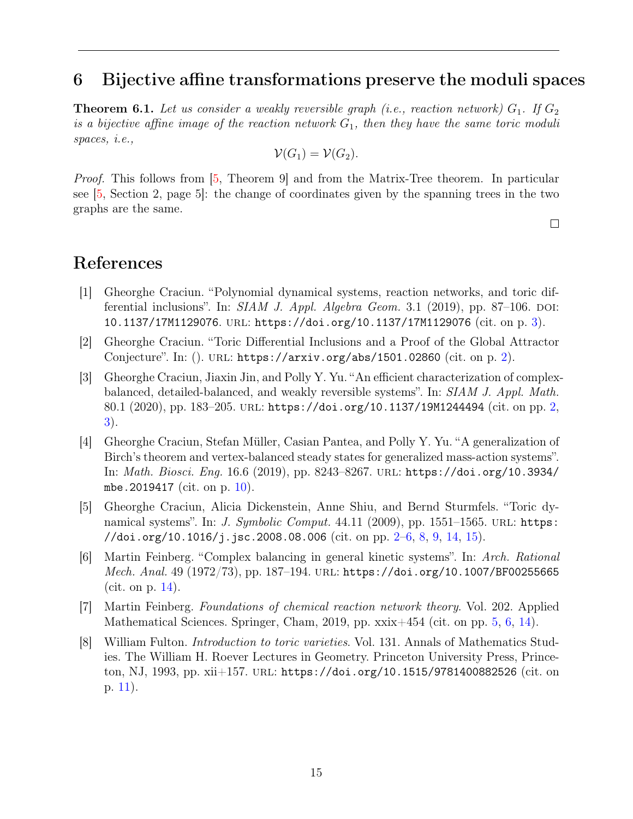## <span id="page-14-9"></span><span id="page-14-0"></span>6 Bijective affine transformations preserve the moduli spaces

**Theorem 6.1.** Let us consider a weakly reversible graph (i.e., reaction network)  $G_1$ . If  $G_2$ is a bijective affine image of the reaction network  $G_1$ , then they have the same toric moduli spaces, i.e.,

$$
\mathcal{V}(G_1)=\mathcal{V}(G_2).
$$

Proof. This follows from [\[5,](#page-14-3) Theorem 9] and from the Matrix-Tree theorem. In particular see [\[5,](#page-14-3) Section 2, page 5]: the change of coordinates given by the spanning trees in the two graphs are the same.

 $\Box$ 

## References

- <span id="page-14-4"></span>[1] Gheorghe Craciun. "Polynomial dynamical systems, reaction networks, and toric differential inclusions". In:  $SIAM$  J. Appl. Algebra Geom. 3.1 (2019), pp. 87-106. DOI: [10.1137/17M1129076](http://dx.doi.org/10.1137/17M1129076). url: <https://doi.org/10.1137/17M1129076> (cit. on p. [3\)](#page-2-4).
- <span id="page-14-2"></span>[2] Gheorghe Craciun. "Toric Differential Inclusions and a Proof of the Global Attractor Conjecture". In: (). URL: <https://arxiv.org/abs/1501.02860> (cit. on p. [2\)](#page-1-1).
- <span id="page-14-1"></span>[3] Gheorghe Craciun, Jiaxin Jin, and Polly Y. Yu. "An efficient characterization of complexbalanced, detailed-balanced, and weakly reversible systems". In: SIAM J. Appl. Math. 80.1 (2020), pp. 183–205. url: <https://doi.org/10.1137/19M1244494> (cit. on pp. [2,](#page-1-1) [3\)](#page-2-4).
- <span id="page-14-6"></span>[4] Gheorghe Craciun, Stefan Müller, Casian Pantea, and Polly Y. Yu. "A generalization of Birch's theorem and vertex-balanced steady states for generalized mass-action systems". In: Math. Biosci. Eng. 16.6 (2019), pp. 8243–8267. url: [https://doi.org/10.3934/](https://doi.org/10.3934/mbe.2019417) [mbe.2019417](https://doi.org/10.3934/mbe.2019417) (cit. on p. [10\)](#page-9-3).
- <span id="page-14-3"></span>[5] Gheorghe Craciun, Alicia Dickenstein, Anne Shiu, and Bernd Sturmfels. "Toric dynamical systems". In: *J. Symbolic Comput.*  $44.11$  (2009), pp. 1551–1565. URL: [https:](https://doi.org/10.1016/j.jsc.2008.08.006) [//doi.org/10.1016/j.jsc.2008.08.006](https://doi.org/10.1016/j.jsc.2008.08.006) (cit. on pp.  $2-6$ , [8,](#page-7-3) [9,](#page-8-3) [14,](#page-13-1) [15\)](#page-14-9).
- <span id="page-14-8"></span>[6] Martin Feinberg. "Complex balancing in general kinetic systems". In: Arch. Rational Mech. Anal. 49 (1972/73), pp. 187–194. url: <https://doi.org/10.1007/BF00255665> (cit. on p. [14\)](#page-13-1).
- <span id="page-14-5"></span>[7] Martin Feinberg. Foundations of chemical reaction network theory. Vol. 202. Applied Mathematical Sciences. Springer, Cham, 2019, pp. xxix+454 (cit. on pp. [5,](#page-4-3) [6,](#page-5-5) [14\)](#page-13-1).
- <span id="page-14-7"></span>[8] William Fulton. Introduction to toric varieties. Vol. 131. Annals of Mathematics Studies. The William H. Roever Lectures in Geometry. Princeton University Press, Princeton, NJ, 1993, pp. xii+157. url: <https://doi.org/10.1515/9781400882526> (cit. on p. [11\)](#page-10-4).